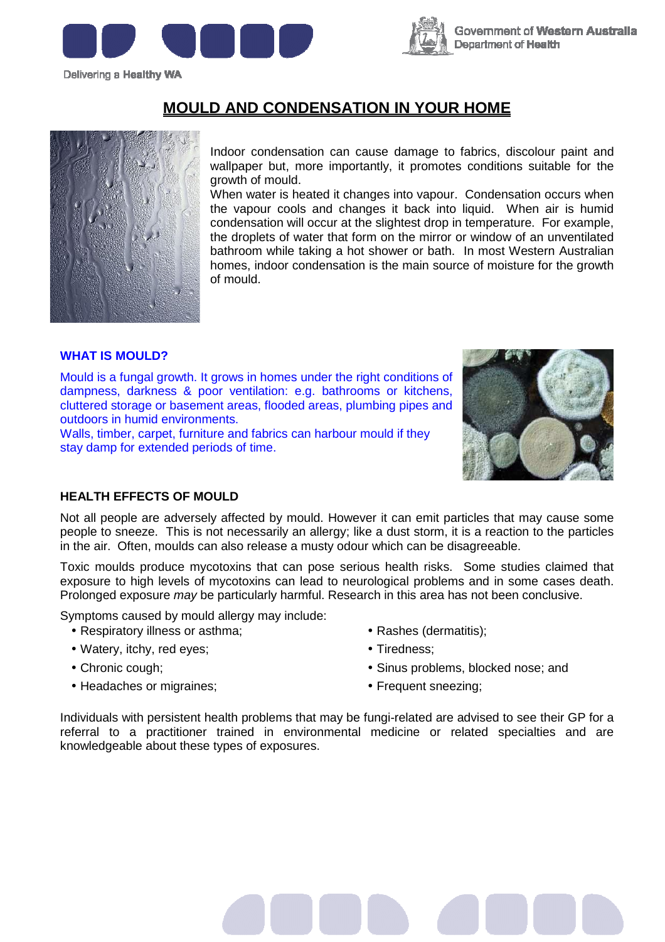





# **MOULD AND CONDENSATION IN YOUR HOME**

Indoor condensation can cause damage to fabrics, discolour paint and wallpaper but, more importantly, it promotes conditions suitable for the growth of mould.

When water is heated it changes into vapour. Condensation occurs when the vapour cools and changes it back into liquid. When air is humid condensation will occur at the slightest drop in temperature. For example, the droplets of water that form on the mirror or window of an unventilated bathroom while taking a hot shower or bath. In most Western Australian homes, indoor condensation is the main source of moisture for the growth of mould.

#### **WHAT IS MOULD?**

Mould is a fungal growth. It grows in homes under the right conditions of dampness, darkness & poor ventilation: e.g. bathrooms or kitchens, cluttered storage or basement areas, flooded areas, plumbing pipes and outdoors in humid environments.

Walls, timber, carpet, furniture and fabrics can harbour mould if they stay damp for extended periods of time.



### **HEALTH EFFECTS OF MOULD**

Not all people are adversely affected by mould. However it can emit particles that may cause some people to sneeze. This is not necessarily an allergy; like a dust storm, it is a reaction to the particles in the air. Often, moulds can also release a musty odour which can be disagreeable.

Toxic moulds produce mycotoxins that can pose serious health risks. Some studies claimed that exposure to high levels of mycotoxins can lead to neurological problems and in some cases death. Prolonged exposure *may* be particularly harmful. Research in this area has not been conclusive.

Symptoms caused by mould allergy may include:

- Respiratory illness or asthma:
- Watery, itchy, red eyes;
- Chronic cough;
- Headaches or migraines;
- Rashes (dermatitis);
- Tiredness;
- Sinus problems, blocked nose; and
- Frequent sneezing;

Individuals with persistent health problems that may be fungi-related are advised to see their GP for a referral to a practitioner trained in environmental medicine or related specialties and are knowledgeable about these types of exposures.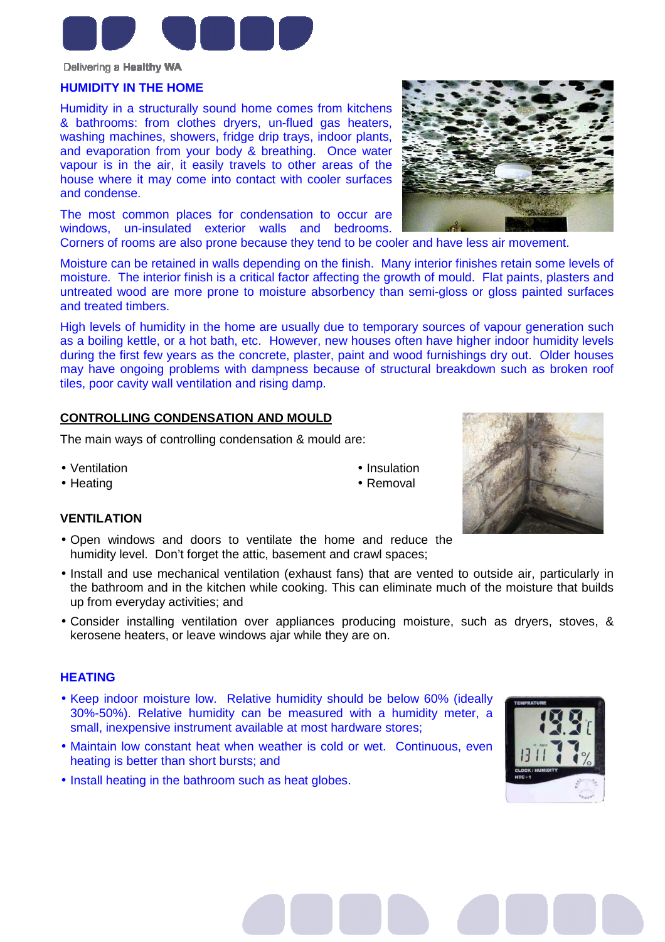

### **HUMIDITY IN THE HOME**

Humidity in a structurally sound home comes from kitchens & bathrooms: from clothes dryers, un-flued gas heaters, washing machines, showers, fridge drip trays, indoor plants, and evaporation from your body & breathing. Once water vapour is in the air, it easily travels to other areas of the house where it may come into contact with cooler surfaces and condense.

The most common places for condensation to occur are windows, un-insulated exterior walls and bedrooms.



Corners of rooms are also prone because they tend to be cooler and have less air movement.

Moisture can be retained in walls depending on the finish. Many interior finishes retain some levels of moisture. The interior finish is a critical factor affecting the growth of mould. Flat paints, plasters and untreated wood are more prone to moisture absorbency than semi-gloss or gloss painted surfaces and treated timbers.

High levels of humidity in the home are usually due to temporary sources of vapour generation such as a boiling kettle, or a hot bath, etc. However, new houses often have higher indoor humidity levels during the first few years as the concrete, plaster, paint and wood furnishings dry out. Older houses may have ongoing problems with dampness because of structural breakdown such as broken roof tiles, poor cavity wall ventilation and rising damp.

## **CONTROLLING CONDENSATION AND MOULD**

The main ways of controlling condensation & mould are:

- Ventilation
- Heating

#### • Insulation • Removal

#### **VENTILATION**

- Open windows and doors to ventilate the home and reduce the humidity level. Don't forget the attic, basement and crawl spaces;
- Install and use mechanical ventilation (exhaust fans) that are vented to outside air, particularly in the bathroom and in the kitchen while cooking. This can eliminate much of the moisture that builds up from everyday activities; and
- Consider installing ventilation over appliances producing moisture, such as dryers, stoves, & kerosene heaters, or leave windows ajar while they are on.

## **HEATING**

- Keep indoor moisture low. Relative humidity should be below 60% (ideally 30%-50%). Relative humidity can be measured with a humidity meter, a small, inexpensive instrument available at most hardware stores;
- Maintain low constant heat when weather is cold or wet. Continuous, even heating is better than short bursts; and
- Install heating in the bathroom such as heat globes.



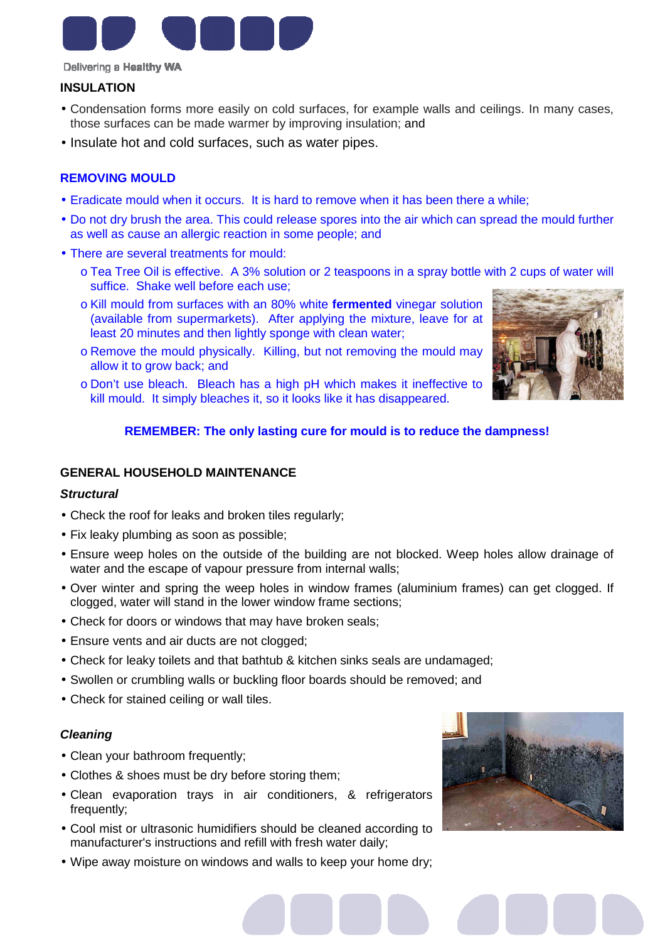

## **INSULATION**

- Condensation forms more easily on cold surfaces, for example walls and ceilings. In many cases, those surfaces can be made warmer by improving insulation; and
- Insulate hot and cold surfaces, such as water pipes.

## **REMOVING MOULD**

- Eradicate mould when it occurs. It is hard to remove when it has been there a while;
- Do not dry brush the area. This could release spores into the air which can spread the mould further as well as cause an allergic reaction in some people; and
- There are several treatments for mould:
	- o Tea Tree Oil is effective. A 3% solution or 2 teaspoons in a spray bottle with 2 cups of water will suffice. Shake well before each use;
	- o Kill mould from surfaces with an 80% white **fermented** vinegar solution (available from supermarkets). After applying the mixture, leave for at least 20 minutes and then lightly sponge with clean water;
	- o Remove the mould physically. Killing, but not removing the mould may allow it to grow back; and
	- o Don't use bleach. Bleach has a high pH which makes it ineffective to kill mould. It simply bleaches it, so it looks like it has disappeared.



## **REMEMBER: The only lasting cure for mould is to reduce the dampness!**

## **GENERAL HOUSEHOLD MAINTENANCE**

#### **Structural**

- Check the roof for leaks and broken tiles regularly;
- Fix leaky plumbing as soon as possible;
- Ensure weep holes on the outside of the building are not blocked. Weep holes allow drainage of water and the escape of vapour pressure from internal walls;
- Over winter and spring the weep holes in window frames (aluminium frames) can get clogged. If clogged, water will stand in the lower window frame sections;
- Check for doors or windows that may have broken seals;
- Ensure vents and air ducts are not clogged;
- Check for leaky toilets and that bathtub & kitchen sinks seals are undamaged;
- Swollen or crumbling walls or buckling floor boards should be removed; and
- Check for stained ceiling or wall tiles.

#### **Cleaning**

- Clean your bathroom frequently;
- Clothes & shoes must be dry before storing them;
- Clean evaporation trays in air conditioners, & refrigerators frequently;
- Cool mist or ultrasonic humidifiers should be cleaned according to manufacturer's instructions and refill with fresh water daily;
- Wipe away moisture on windows and walls to keep your home dry;

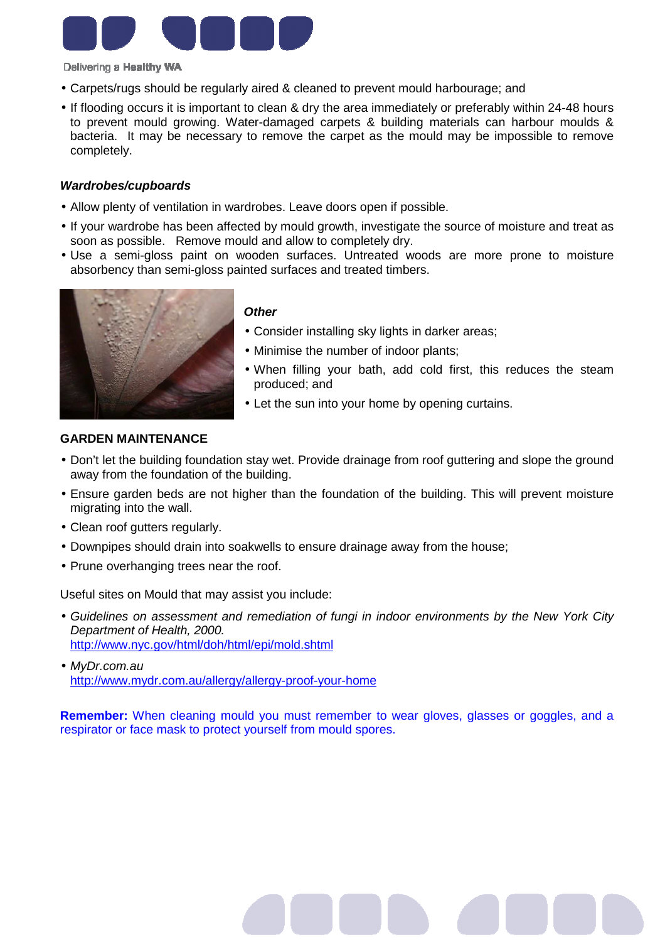

- Carpets/rugs should be regularly aired & cleaned to prevent mould harbourage; and
- If flooding occurs it is important to clean & dry the area immediately or preferably within 24-48 hours to prevent mould growing. Water-damaged carpets & building materials can harbour moulds & bacteria. It may be necessary to remove the carpet as the mould may be impossible to remove completely.

### **Wardrobes/cupboards**

- Allow plenty of ventilation in wardrobes. Leave doors open if possible.
- If your wardrobe has been affected by mould growth, investigate the source of moisture and treat as soon as possible. Remove mould and allow to completely dry.
- Use a semi-gloss paint on wooden surfaces. Untreated woods are more prone to moisture absorbency than semi-gloss painted surfaces and treated timbers.



## **Other**

- Consider installing sky lights in darker areas;
- Minimise the number of indoor plants;
- When filling your bath, add cold first, this reduces the steam produced; and
- Let the sun into your home by opening curtains.

## **GARDEN MAINTENANCE**

- Don't let the building foundation stay wet. Provide drainage from roof guttering and slope the ground away from the foundation of the building.
- Ensure garden beds are not higher than the foundation of the building. This will prevent moisture migrating into the wall.
- Clean roof gutters regularly.
- Downpipes should drain into soakwells to ensure drainage away from the house;
- Prune overhanging trees near the roof.

Useful sites on Mould that may assist you include:

- Guidelines on assessment and remediation of fungi in indoor environments by the New York City Department of Health, 2000. http://www.nyc.gov/html/doh/html/epi/mold.shtml
- MvDr.com.au http://www.mydr.com.au/allergy/allergy-proof-your-home

**Remember:** When cleaning mould you must remember to wear gloves, glasses or goggles, and a respirator or face mask to protect yourself from mould spores.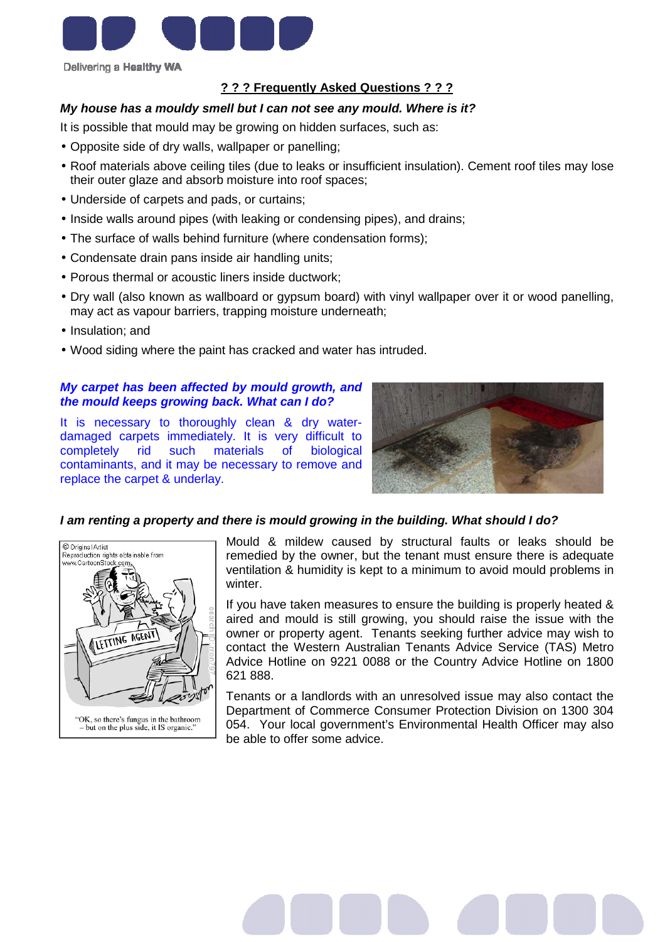

## **? ? ? Frequently Asked Questions ? ? ?**

## **My house has a mouldy smell but I can not see any mould. Where is it?**

It is possible that mould may be growing on hidden surfaces, such as:

- Opposite side of dry walls, wallpaper or panelling;
- Roof materials above ceiling tiles (due to leaks or insufficient insulation). Cement roof tiles may lose their outer glaze and absorb moisture into roof spaces;
- Underside of carpets and pads, or curtains;
- Inside walls around pipes (with leaking or condensing pipes), and drains;
- The surface of walls behind furniture (where condensation forms);
- Condensate drain pans inside air handling units;
- Porous thermal or acoustic liners inside ductwork;
- Dry wall (also known as wallboard or gypsum board) with vinyl wallpaper over it or wood panelling, may act as vapour barriers, trapping moisture underneath;
- Insulation; and
- Wood siding where the paint has cracked and water has intruded.

## **My carpet has been affected by mould growth, and the mould keeps growing back. What can I do?**

It is necessary to thoroughly clean & dry waterdamaged carpets immediately. It is very difficult to completely rid such materials of biological contaminants, and it may be necessary to remove and replace the carpet & underlay.



## **I am renting a property and there is mould growing in the building. What should I do?**



Mould & mildew caused by structural faults or leaks should be remedied by the owner, but the tenant must ensure there is adequate ventilation & humidity is kept to a minimum to avoid mould problems in winter.

If you have taken measures to ensure the building is properly heated & aired and mould is still growing, you should raise the issue with the owner or property agent. Tenants seeking further advice may wish to contact the Western Australian Tenants Advice Service (TAS) Metro Advice Hotline on 9221 0088 or the Country Advice Hotline on 1800 621 888.

Tenants or a landlords with an unresolved issue may also contact the Department of Commerce Consumer Protection Division on 1300 304 054. Your local government's Environmental Health Officer may also be able to offer some advice.